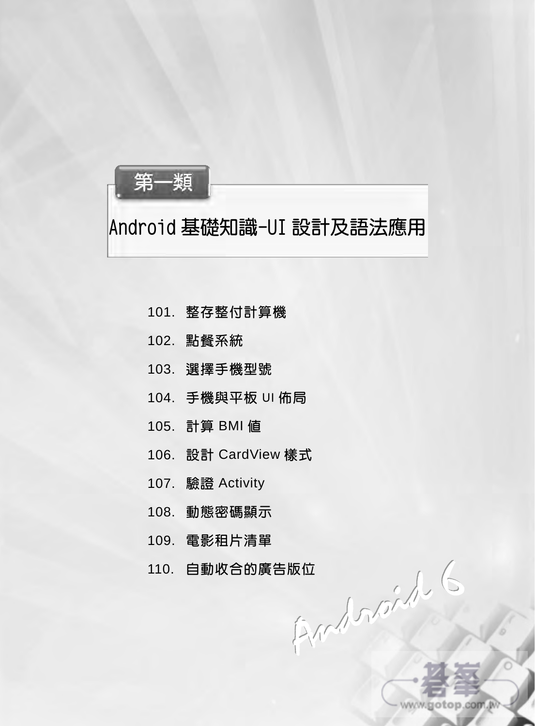

## Android 基礎知識-UI 設計及語法應用

- 101. 整存整付計算機
- 102. 點餐系統
- 103. 選擇手機型號
- 104. 手機與平板 UI 佈局
- 105. 計算 BMI 值
- 106. 設計 CardView 樣式
- 107. 驗證 Activity
- 108. 動態密碼顯示
- 109. 電影租片清單
- 110. 自動收合的廣告版位

www.gotop.com.w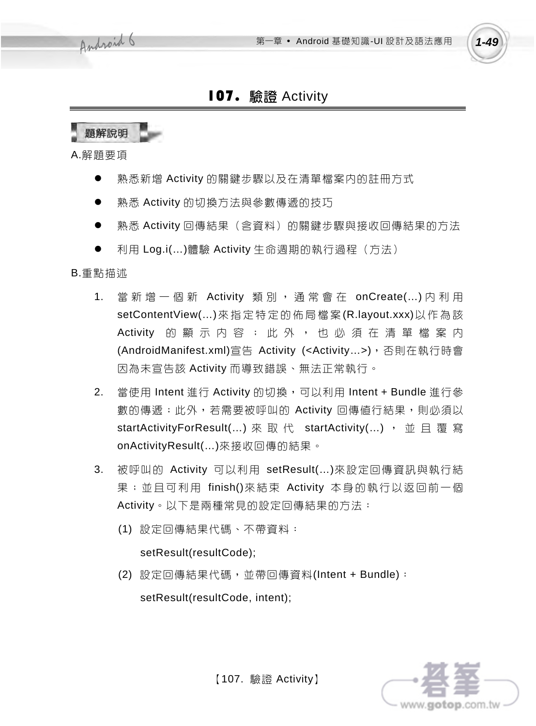

## 107. 驗證 Activity



- 2. 當使用 Intent 進行 Activity 的切換,可以利用 Intent + Bundle 進行參 數的傳遞;此外,若需要被呼叫的 Activity 回傳值行結果,則必須以 startActivityForResult(...) 來 取 代 startActivity(...) , 並 且 覆 寫 onActivityResult(…)來接收回傳的結果。
- 3. 被呼叫的 Activity 可以利用 setResult(…)來設定回傳資訊與執行結 果;並且可利用 finish()來結束 Activity 本身的執行以返回前一個 Activity。以下是兩種常見的設定回傳結果的方法:
	- (1) 設定回傳結果代碼、不帶資料:

### setResult(resultCode);

(2) 設定回傳結果代碼,並帶回傳資料(Intent + Bundle):

setResult(resultCode, intent);



【107. 驗證 Activity】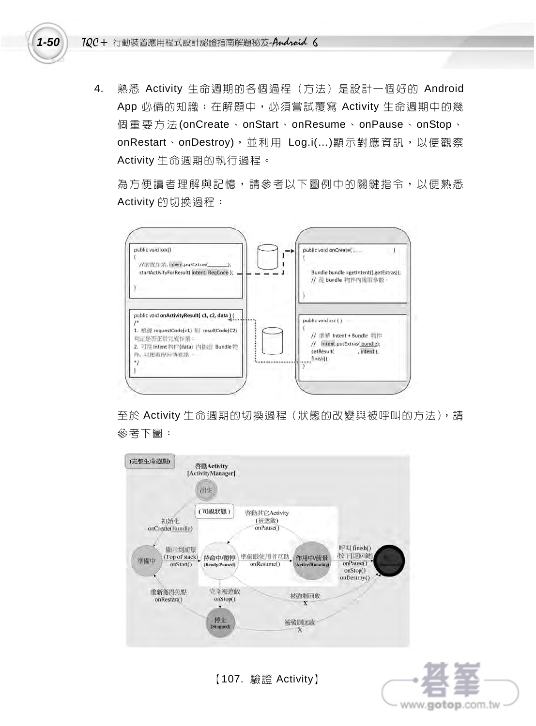

4. 熟悉 Activity 生命週期的各個過程(方法)是設計一個好的 Android App 必備的知識;在解題中, 必須嘗試覆寫 Activity 生命週期中的幾 個重要方法 (onCreate、onStart、onResume、onPause、onStop、 onRestart、onDestroy),並利用 Log.i(…)顯示對應資訊,以便觀察 Activity 生命週期的執行過程。

為方便讀者理解與說憶,請參考以下圖例中的關鍵指令,以便熟悉 Activity 的切換過程:



至於 Activity 生命週期的切換過程(狀態的改變與被呼叫的方法),請 參考下圖:



【107. 驗證 Activity】

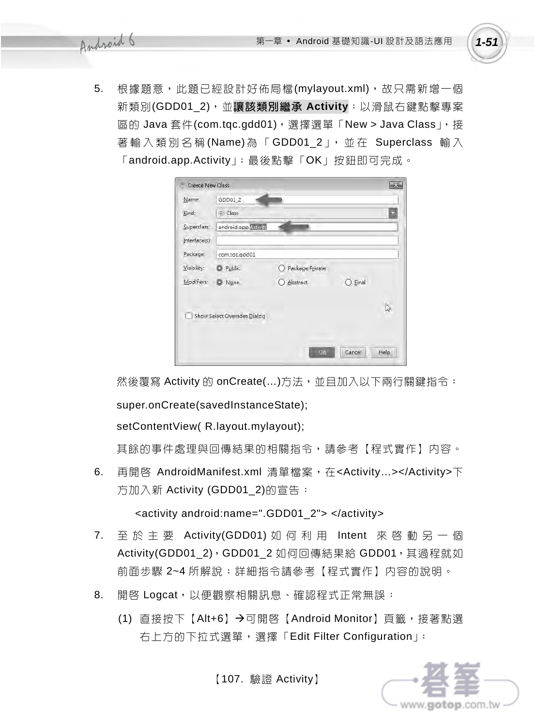5. 根據題意,此題已經設計好佈局檔(mylayout.xml),故只需新增一個 新類別(GDD01\_2),並讓該類別繼承 **Activity**:以滑鼠右鍵點擊專案 區的 Java 套件(com.tqc.gdd01),選擇選單「New > Java Class」,接 著輸入類別名稱(Name)為「GDD01\_2」,並在 Superclass 輸入 「android.app.Activity」;最後點擊「OK」按鈕即可完成。

| Create New Class |                              |                 |         |       |
|------------------|------------------------------|-----------------|---------|-------|
| Name:            | GDD01_2                      |                 |         |       |
| Kind:            | c Class                      |                 |         |       |
| Superclass:      | android.app. Activity        |                 |         |       |
| Interface(s):    |                              |                 |         |       |
| Package:         | com.tgc.gdd01                |                 |         |       |
| Visibility:      | Public                       | Package Private |         |       |
| Modifiers:       | None                         | C Abstract      | ) Einal |       |
|                  |                              |                 |         |       |
|                  | Show Select Overrides Dialog |                 |         |       |
|                  |                              |                 |         |       |
|                  |                              | OK -            | Cancel  | Help. |

然後覆寫 Activity 的 onCreate(...)方法,並且加入以下兩行關鍵指令:

super.onCreate(savedInstanceState);

setContentView( R.layout.mylayout);

其餘的事件處理與回傳結果的相關指令,請參考【程式實作】內容。

6. 再開啟 AndroidManifest.xml 清單檔案,在<Activity…></Activity>下 方加入新 Activity (GDD01\_2)的宣告:

<activity android:name=".GDD01\_2"> </activity>

- 7. 至於主要 Activity(GDD01) 如何利用 Intent 來啟動另一個 Activity(GDD01\_2), GDD01\_2 如何回傳結果給 GDD01, 其過程就如 前面步驟 2~4 所解說;詳細指令請參考【程式實作】内容的說明。
- 8. 開啓 Logcat,以便觀察相關訊息、確認程式正常無誤:
	- (1) 直接按下【Alt+6】→可開啓【Android Monitor】百籤,接著點選 右上方的下拉式選單,選擇「Edit Filter Configuration」:

【107. 驗證 Activity】

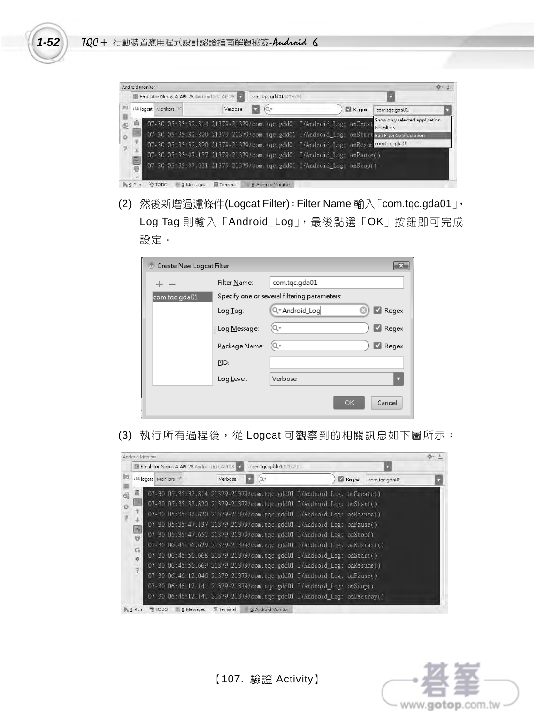

|                                           | III Emulator Nexus_4_API_23 Android 6.0, API 23 T                                                                                                                                                                                                                                                                                                                                                        |         |  | com.tgc.gdd01 (21379) |       |                                              |  |
|-------------------------------------------|----------------------------------------------------------------------------------------------------------------------------------------------------------------------------------------------------------------------------------------------------------------------------------------------------------------------------------------------------------------------------------------------------------|---------|--|-----------------------|-------|----------------------------------------------|--|
| Î6                                        | Ilia logcat Monitors **                                                                                                                                                                                                                                                                                                                                                                                  | Verbose |  |                       | Regex | com.tgc.gda01                                |  |
| 而<br>ë<br>ø<br>7<br>中国中<br>$\overline{r}$ | 07-30 05:35:32.814 21379-21379/com.tgc.gdd01 I/Android Log: onCreat<br>07-30 05:35:32.820 21379-21379/com.tgc.gdd01 I/Android Log: onStart Edit Filter Configuration<br>07-30 05:35:32.820 21379-21379/com.tgc.gdd01 I/Android Log: onResum comtgegda01<br>07-30 05:35:47.137 21379-21379/com.tgc.gdd01 I/Android Log: onPause()<br>07-30 05:35:47.651 21379-21379/com.tgc.gdd01 I/Android Log: onStop() |         |  |                       |       | Show only selected application<br>No Filters |  |

(2) 然後新增過濾條件(Logcat Filter):Filter Name 輸入「com.tqc.gda01」, Log Tag 則輸入「Android\_Log」,最後點選「OK」按鈕即可完成 設定。

| <b>2</b> Create New Logcat Filter |               |                                              |
|-----------------------------------|---------------|----------------------------------------------|
|                                   | Filter Name:  | com.tqc.gda01                                |
| com.tqc.gda01                     |               | Specify one or several filtering parameters: |
|                                   | Log Tag:      | Q-Android_Log<br>Regex                       |
|                                   | Log Message:  | Regex<br>Q۰                                  |
|                                   | Package Name: | Regex<br>Q۰                                  |
|                                   | PID:          |                                              |
|                                   | Log Level:    | Verbose                                      |
|                                   |               | <b>OK</b><br>Cancel                          |

(3) 執行所有過程後,從 Logcat 可觀察到的相關訊息如下圖所示:

|                                      | <b>IM Emulator Nexus_4_API_23</b> Android 6.0 API 23 |         | com.tgc.gdd01 (21579) |                                                                                                                                                                                                                                                                                                                                                                                                                                                                                                                                                                                                                                                                                                                                                                                                                                      |       |               |  |
|--------------------------------------|------------------------------------------------------|---------|-----------------------|--------------------------------------------------------------------------------------------------------------------------------------------------------------------------------------------------------------------------------------------------------------------------------------------------------------------------------------------------------------------------------------------------------------------------------------------------------------------------------------------------------------------------------------------------------------------------------------------------------------------------------------------------------------------------------------------------------------------------------------------------------------------------------------------------------------------------------------|-------|---------------|--|
|                                      | IF& logcat Monitors +*                               | Verbose | Q÷                    |                                                                                                                                                                                                                                                                                                                                                                                                                                                                                                                                                                                                                                                                                                                                                                                                                                      | Regex | com.tgc.gda01 |  |
| 霝<br>巨品<br>Cm<br>谥<br>$\overline{z}$ |                                                      |         |                       | 07-30 05:35:32.814 21379-21379/com.tgc.gdd01 I/Android Log: onCreate()<br>07-30 05:35:32.820 21379-21379/com.tgc.gdd01 I/Android Log: onStari()<br>07-30 05:35:32.820 21379-21379/com.tgc.gdd01 I/Android Log: onResume()<br>07-30 05:35:47.137 21379-21379/com.tgc.gdd01 I/Android Log: onPause()<br>07-30 05:35:47.651 21379-21379/com.tgc.gdd01 I/Android Log: onStop()<br>07-30 06:45:56.629 21379-21379/com.tqc.gdd01 I/Android Log: onRestart()<br>07-30 06:45:56.668 21379-21379/com.tgc.gdd01 I/Android Log: onStart()<br>07-30 06:45:56.669 21379-21379/com.tqc.gdd01 I/Android Log: onResume()<br>07-30 06:46:12.046 21379-21379/com.tgc.gdd01 I/Android Log: onPause()<br>07-30 06:46:12.141 21379-21379/com.tgc.gdd01 I/Android Log: onStop()<br>07-30 06:46:12.141 21379-21379/com.tgc.gdd01 I/Android Log: onDestroy() |       |               |  |

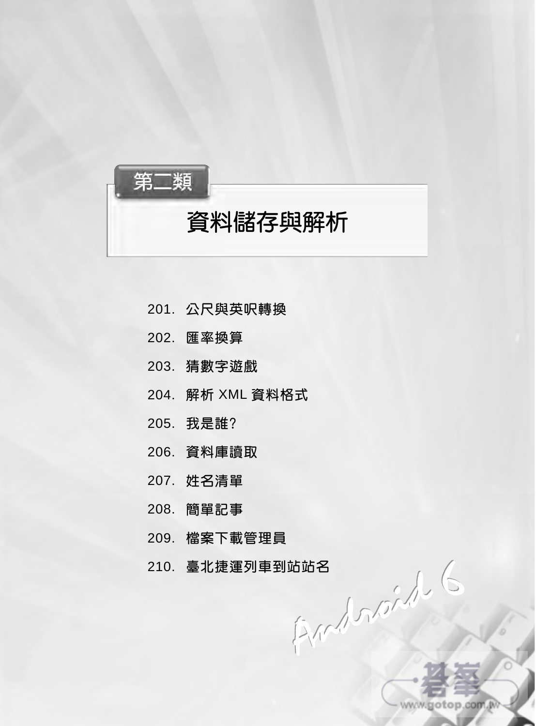

- 201. 公尺與英呎轉換
- 202. 匯率換算
- 203. 猜數字遊戲
- 204. 解析 XML 資料格式
- 205. 我是誰?
- 206. 資料庫讀取
- 207. 姓名清單
- 208. 簡單記事
- 209. 檔案下載管理員
- 210. 臺北捷運列車到站站名

www.gotop.com.M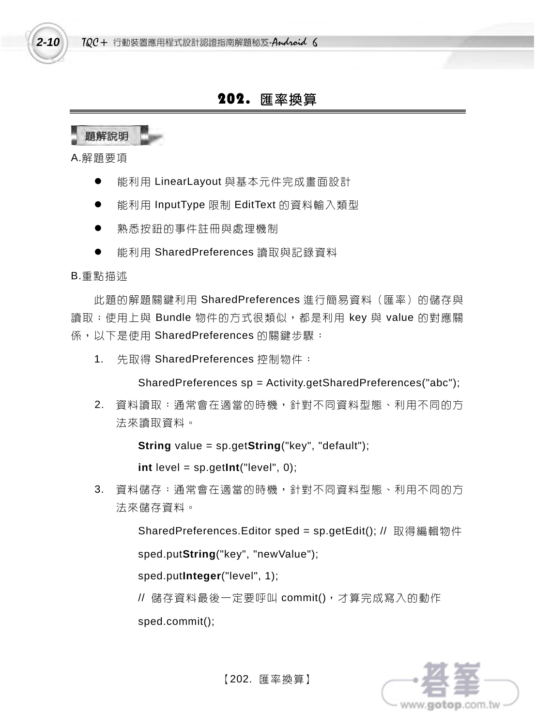### 202. 匯率換算

題解說明

A.解題要項

*2-10* 

- 能利用 LinearLayout 與基本元件完成畫面設計
- 能利用 InputType 限制 EditText 的資料輸入類型
- 熟悉按鈕的事件註冊與處理機制
- 能利用 SharedPreferences 讀取與記錄資料

#### B.重點描述

此題的解題關鍵利用 SharedPreferences 進行簡易資料 (匯率) 的儲存與 讀取;使用上與 Bundle 物件的方式很類似,都是利用 key 與 value 的對應關 係,以下是使用 SharedPreferences 的關鍵步驟:

1. 先取得 SharedPreferences 控制物件:

SharedPreferences sp = Activity.getSharedPreferences("abc");

2. 資料讀取:通常會在適當的時機,針對不同資料型態、利用不同的方 法來讀取資料。

**String** value = sp.get**String**("key", "default");

**int** level = sp.get**Int**("level", 0);

3. 資料儲存:通常會在適當的時機,針對不同資料型態、利用不同的方 法來儲存資料。

SharedPreferences.Editor sped = sp.getEdit(); // 取得編輯物件

sped.put**String**("key", "newValue");

sped.put**Integer**("level", 1);

// 儲存資料最後一定要呼叫 commit(),才算完成寫入的動作

sped.commit();

www.gotop.com.tv

【202. 匯率換算】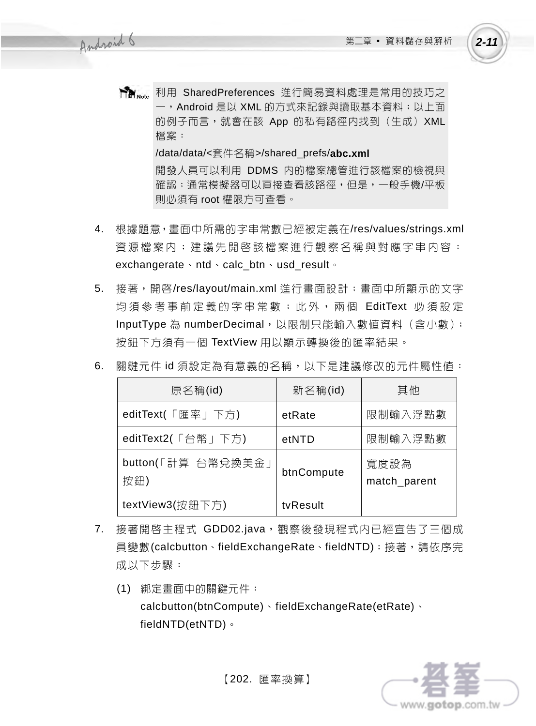- **The Note** 利用 SharedPreferences 進行簡易資料處理是常用的技巧之 一, Android 是以 XML 的方式來記錄與讀取基本資料; 以上面 的例子而言,就會在該 App 的私有路徑內找到(生成)XML 檔案: /data/data/<套件名稱>/shared\_prefs/**abc.xml** 開發人員可以利用 DDMS 內的檔案總管進行該檔案的檢視與 確認;通常模擬器可以直接查看該路徑,但是,一般手機/平板 則必須有 root 權限方可查看。
- 4. 根據題意,畫面中所需的字串常數已經被定義在/res/values/strings.xml 資源檔案内;建議先開啓該檔案進行觀察名稱與對應字串内容: exchangerate、ntd、calc\_btn、usd\_result。
- 5. 接著,開啓/res/layout/main.xml 進行畫面設計;畫面中所顯示的文字 均須參考事前定義的字串常數;此外,兩個 EditText 必須設定 InputType 為 numberDecimal, 以限制只能輸入數值資料 (含小數); 按鈕下方須有一個 TextView 用以顯示轉換後的匯率結果。

| 原名稱(id)                   | 新名稱(id)    | 其他                   |
|---------------------------|------------|----------------------|
| editText(「匯率」下方)          | etRate     | 限制輸入浮點數              |
| editText2(「台幣」下方)         | etNTD      | 限制輸入浮點數              |
| button(「計算 台幣兌換美金」<br>按鈕) | btnCompute | 寬度設為<br>match_parent |
| textView3(按鈕下方)           | tyResult   |                      |

6. 關鍵元件 id 須設定為有意義的名稱,以下是建議修改的元件屬性值:

- 7. 接著開啟主程式 GDD02.java,觀察後發現程式內已經宣告了三個成 員變數(calcbutton、fieldExchangeRate、fieldNTD);接著,請依序完 成以下步驟:
	- (1) 綁定畫面中的關鍵元件: calcbutton(btnCompute)、fieldExchangeRate(etRate)、 fieldNTD(etNTD)。



【202. 匯率換算】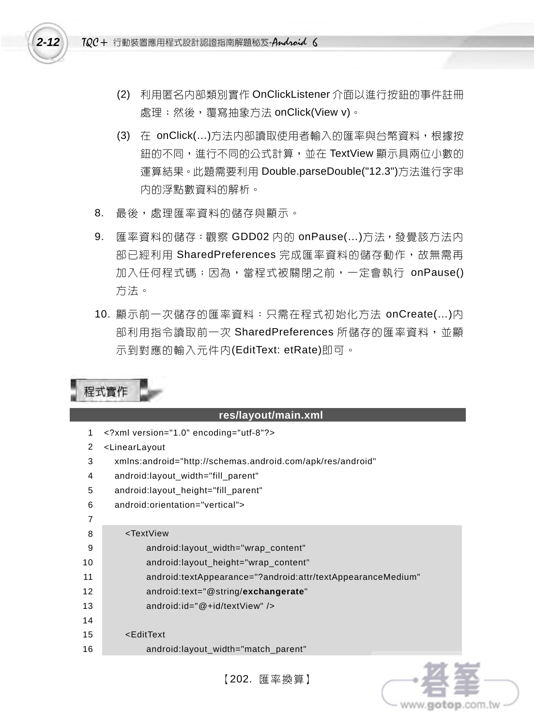

- (2) 利用匿名內部類別實作 OnClickListener 介面以進行按鈕的事件註冊 處理;然後,覆寫抽象方法 onClick(View v)。
- (3) 在 onClick(…)方法內部讀取使用者輸入的匯率與台幣資料,根據按 鈕的不同,進行不同的公式計算,並在 TextView 顯示具兩位小數的 運算結果。此題需要利用 Double.parseDouble("12.3")方法進行字串 內的浮點數資料的解析。
- 8. 最後,處理匯率資料的儲存與顯示。
- 9. 匯率資料的儲存:觀察 GDD02 内的 onPause(...)方法,發覺該方法内 部已經利用 SharedPreferences 完成匯率資料的儲存動作, 故無需再 加入任何程式碼;因為,當程式被關閉之前,一定會執行 onPause() 方法。
- 10. 顯示前一次儲存的匯率資料:只需在程式初始化方法 onCreate(…)內 部利用指令讀取前一次 SharedPreferences 所儲存的匯率資料,並顯 示到對應的輸入元件內(EditText: etRate)即可。

|                 | 程式實作                                                        |
|-----------------|-------------------------------------------------------------|
|                 | res/layout/main.xml                                         |
| 1               | xml version="1.0" encoding="utf-8"?                         |
| 2               | <linearlayout< td=""></linearlayout<>                       |
| 3               | xmlns:android="http://schemas.android.com/apk/res/android"  |
| 4               | android:layout_width="fill_parent"                          |
| 5               | android:layout_height="fill_parent"                         |
| 6               | android:orientation="vertical">                             |
| $\overline{7}$  |                                                             |
| 8               | <textview< th=""></textview<>                               |
| 9               | android:layout_width="wrap_content"                         |
| 10              | android:layout_height="wrap_content"                        |
| 11              | android:textAppearance="?android:attr/textAppearanceMedium" |
| 12 <sup>2</sup> | android:text="@string/exchangerate"                         |
| 13              | android: $id = "@+id/textView"$ />                          |
| 14              |                                                             |
| 15              | <edittext< th=""></edittext<>                               |
| 16              | android:layout_width="match_parent"                         |

【202. 匯率換算】

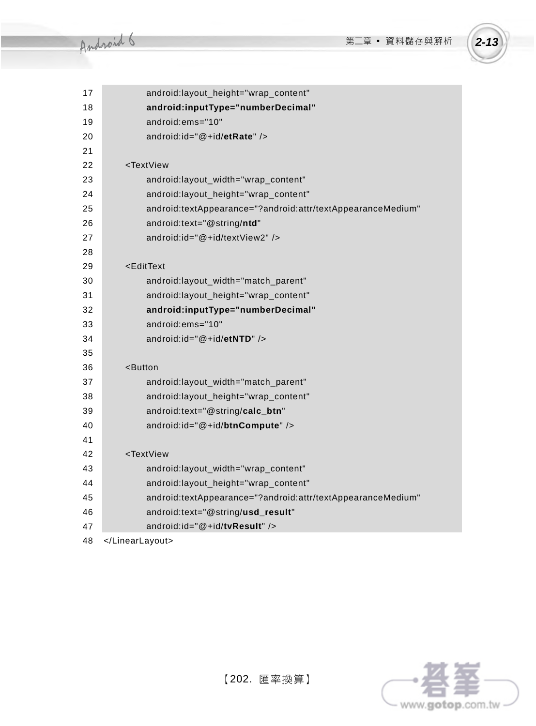

| 17 | android:layout_height="wrap_content"                        |
|----|-------------------------------------------------------------|
| 18 | android:inputType="numberDecimal"                           |
| 19 | android:ems="10"                                            |
| 20 | android: $id = "@+id/etRate"$ />                            |
| 21 |                                                             |
| 22 | <textview< td=""></textview<>                               |
| 23 | android:layout_width="wrap_content"                         |
| 24 | android:layout_height="wrap_content"                        |
| 25 | android:textAppearance="?android:attr/textAppearanceMedium" |
| 26 | android:text="@string/ntd"                                  |
| 27 | android:id="@+id/textView2" />                              |
| 28 |                                                             |
| 29 | <edittext< td=""></edittext<>                               |
| 30 | android:layout_width="match_parent"                         |
| 31 | android:layout_height="wrap_content"                        |
| 32 | android:inputType="numberDecimal"                           |
| 33 | android:ems="10"                                            |
| 34 | android:id="@+id/etNTD" />                                  |
| 35 |                                                             |
| 36 | <button< td=""></button<>                                   |
| 37 | android:layout_width="match_parent"                         |
| 38 | android:layout_height="wrap_content"                        |
| 39 | android:text="@string/calc_btn"                             |
| 40 | android:id="@+id/btnCompute" />                             |
| 41 |                                                             |
| 42 | <textview< td=""></textview<>                               |
| 43 | android:layout_width="wrap_content"                         |
| 44 | android:layout_height="wrap_content"                        |
| 45 | android:textAppearance="?android:attr/textAppearanceMedium" |
| 46 | android:text="@string/usd_result"                           |
| 47 | android:id="@+id/tvResult" />                               |
| 48 |                                                             |

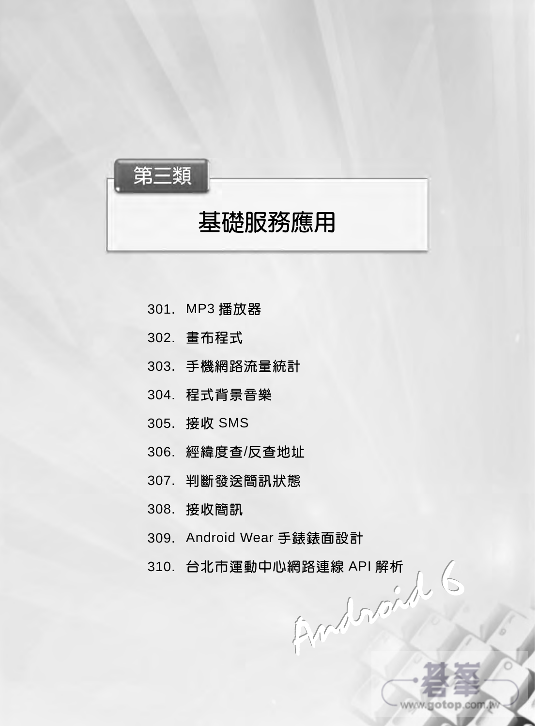

## 基礎服務應用

- 301. MP3 播放器
- 302. 畫布程式
- 303. 手機網路流量統計
- 304. 程式背景音樂
- 305. 接收 SMS
- 306. 經緯度查/反查地址
- 307. 判斷發送簡訊狀態
- 308. 接收簡訊
- 309. Android Wear 手錶錶面設計
- 310. 台北市運動中心網路連線 API 解析 $\int_{\mathbb{R}^2} \int_{\mathbb{R}^2} \int_{\mathbb{R}^2} \int_{\mathbb{R}^2} \int_{\mathbb{R}^2} \int_{\mathbb{R}^2} \int_{\mathbb{R}^2} \int_{\mathbb{R}^2} \int_{\mathbb{R}^2} \int_{\mathbb{R}^2} \int_{\mathbb{R}^2} \int_{\mathbb{R}^2} \int_{\mathbb{R}^2} \int_{\mathbb{R}^2} \int_{\mathbb{R}^2} \int_{\mathbb{R}^2} \int_{\$

www.gotop.com.w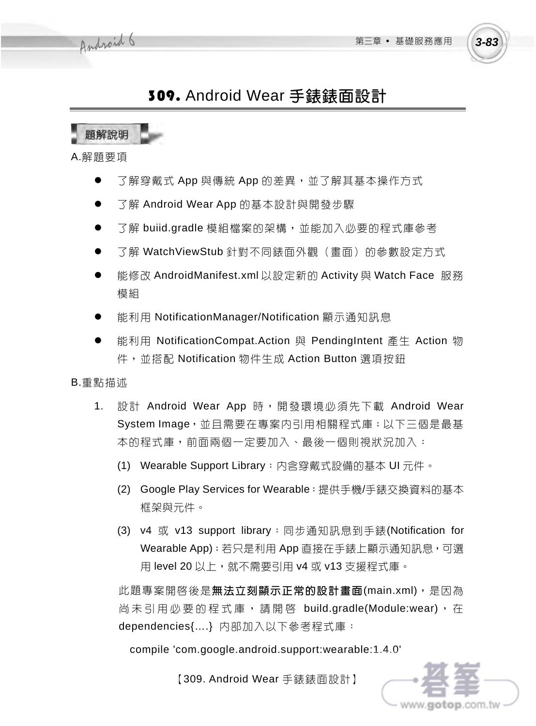www.gotop.com.tv

## 309. Android Wear 手錶錶面設計

題解說明

A.解題要項

- 了解穿戴式 App 與傳統 App 的差異,並了解其基本操作方式
- 了解 Android Wear App 的基本設計與開發步驟
- 了解 buiid.gradle 模組檔案的架構,並能加入必要的程式庫參考
- 了解 WatchViewStub 針對不同錶面外觀(畫面)的參數設定方式
- 能修改 AndroidManifest.xml 以設定新的 Activity 與 Watch Face 服務 模組
- 能利用 NotificationManager/Notification 顯示通知訊息
- 能利用 NotificationCompat.Action 與 PendingIntent 產生 Action 物 件,並搭配 Notification 物件生成 Action Button 選項按訊

B.重點描述

- 1. 設計 Android Wear App 時,開發環境必須先下載 Android Wear System Image,並且需要在專案内引用相關程式庫;以下三個是最基 本的程式庫,前面兩個一定要加入、最後一個則視狀況加入:
	- (1) Wearable Support Library:內含穿戴式設備的基本 UI 元件。
	- (2) Google Play Services for Wearable:提供手機/手錶交換資料的基本 框架與元件。
	- (3) v4 或 v13 support library:同步通知訊息到手錶(Notification for Wearable App);若只是利用 App 直接在手錶上顯示通知訊息,可選 用 level 20 以上, 就不需要引用 v4 或 v13 支援程式庫。

此題專案開啓後是**無法立刻顯示正常的設計畫面(main.xml)**,是因為 尚未引用必要的程式庫,請開啓 build.gradle(Module:wear),在 dependencies{….} 內部加入以下參考程式庫:

compile 'com.google.android.support:wearable:1.4.0'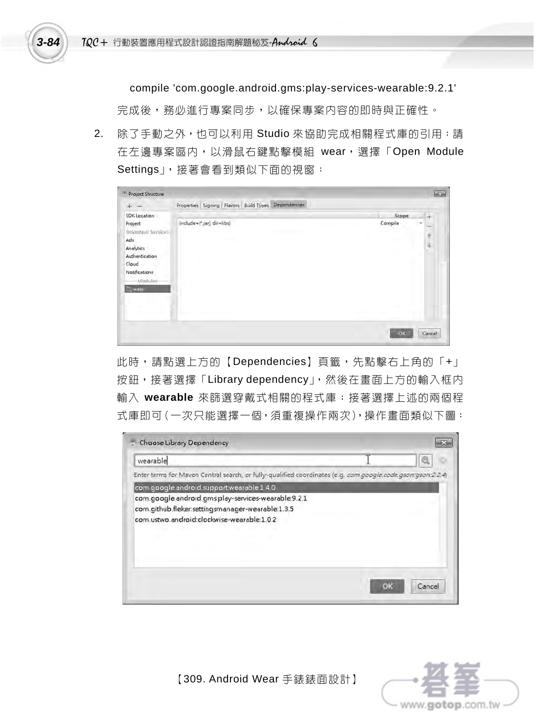compile 'com.google.android.gms:play-services-wearable:9.2.1'

完成後,務必進行專案同步,以確保專案内容的即時與正確性。

2. 除了手動之外,也可以利用 Studio 來協助完成相關程式庫的引用:請 在左邊專案區內,以滑鼠右鍵點擊模組 wear,選擇「Open Module Settings」,接著會看到類似下面的視窗:

| ÷<br>$\overline{\phantom{a}}$                                                                                                    | Dependencies<br>Properties Signing Flavors Build Types |                  |                               |
|----------------------------------------------------------------------------------------------------------------------------------|--------------------------------------------------------|------------------|-------------------------------|
| SDKLocation<br>Project<br>Developer Services<br>Ads<br>Analytics<br>Authentication<br>Cloud<br>Notifications<br>Modules-<br>west | (include=[*.jar], dir=libs)                            | Scape<br>Compile | ÷<br>$\overline{a}$<br>ý<br>ä |
|                                                                                                                                  |                                                        | oc               | Cancel                        |

此時,請點選上方的【Dependencies】頁籤,先點擊右上角的「+」 按鈕,接著選擇「Library dependency」,然後在畫面上方的輸入框内 輸入 **wearable** 來篩選穿戴式相關的程式庫;接著選擇上述的兩個程 式庫即可(一次只能選擇一個,須重複操作兩次),操作書面類似下圖:

| Choose Library Dependency                                                                                   |       |
|-------------------------------------------------------------------------------------------------------------|-------|
| wearable                                                                                                    |       |
| Enter terms for Maven Central search, or fully-qualified coordinates (e.g. com.google.code.gson:gson:2.2.4) |       |
| com google android.support.wearable 1.4.0                                                                   |       |
| com.google.android.gms:play-services-wearable:9.2.1                                                         |       |
| com.github.fleker.settingsmanager-wearable:1.3.5                                                            |       |
| com.ustwo.android:clockwise-wearable:1.02                                                                   |       |
|                                                                                                             |       |
|                                                                                                             |       |
|                                                                                                             |       |
|                                                                                                             |       |
|                                                                                                             |       |
|                                                                                                             | Cance |
|                                                                                                             |       |

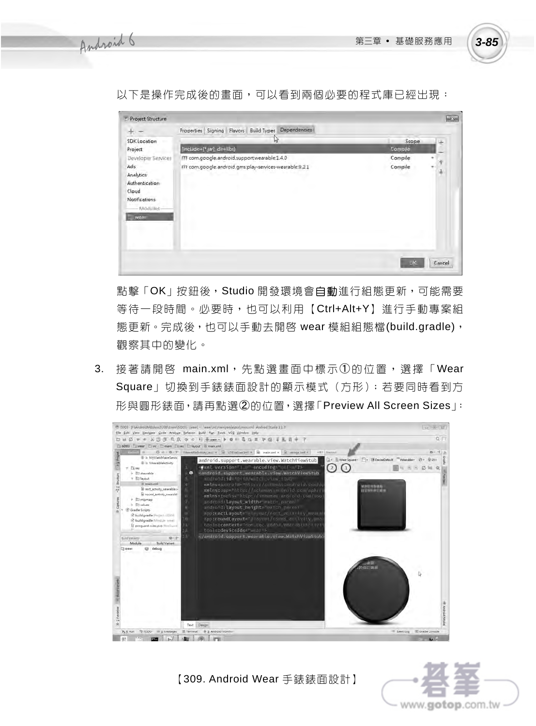以下是操作完成後的畫面,可以看到兩個必要的程式庫已經出現:



點擊「OK」按鈕後, Studio 開發環境會自動進行組態更新,可能需要 等待一段時間。必要時,也可以利用【Ctrl+Alt+Y】進行手動專案組 熊更新。完成後,也可以手動去開啓 wear 模組組熊檔(build.gradle), 觀察其中的變化。

3. 接著請開啓 main.xml,先點選畫面中標示①的位置,選擇「Wear Square」切換到手錶錶面設計的顯示模式(方形);若要同時看到方 形與圓形錶面,請再點選➁的位置,選擇「Preview All Screen Sizes」:



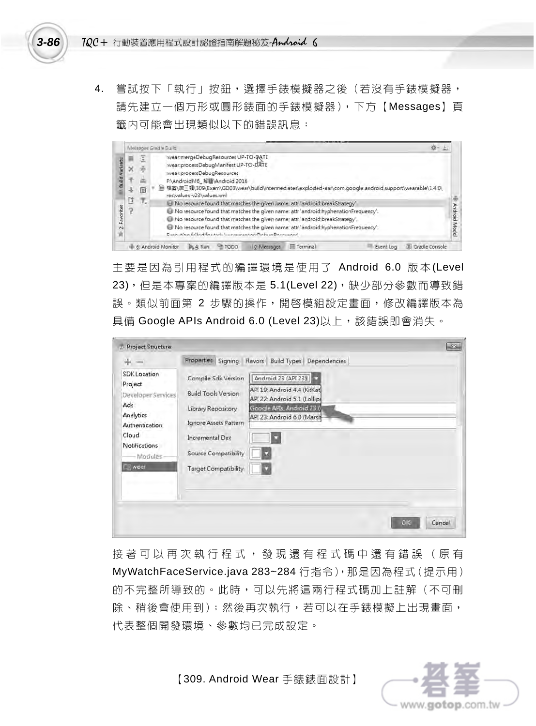4. 嘗試按下「執行」按鈕,選擇手錶模擬器之後(若沒有手錶模擬器, 請先建立一個方形或圓形錶面的手錶模擬器),下方【Messages】頁 籤内可能會出現類似以下的錯誤訊息:

|                                      |                       | Messages Gradle Build                                                                                                                                                                                                                                                                                                                                                                                                                                                                                                                                                                                                                                                                                                    |       |
|--------------------------------------|-----------------------|--------------------------------------------------------------------------------------------------------------------------------------------------------------------------------------------------------------------------------------------------------------------------------------------------------------------------------------------------------------------------------------------------------------------------------------------------------------------------------------------------------------------------------------------------------------------------------------------------------------------------------------------------------------------------------------------------------------------------|-------|
| <b>Bulld Variants</b><br>2 Favorites | 归<br>×<br>玉<br>匣<br>ū | :wear.mergeDebugResources UP-TO-DATE<br>:wear:processDebugManifest UP-TO-DATE<br>wear:processDebugResources<br>F:\AndroidM6_解题\Android 2016<br>權雾\第三調\309\Exam\GD03\wear\build\intermediates\exploded-aar\com.google.android.support\wearable\1.4.0\<br>ы<br>restvalues-v23\values.xml<br>т.<br>No resource found that matches the given name attr'android:breakStrategy'<br>No resource found that matches the given name: attr 'android:hyphenationFrequency'.<br>No resource found that matches the given name; attr 'android:breakStrategy'<br>No resource found that matches the given name: attr 'android:hyphenationFrequency'.<br>Engine Africa (Albert Engine And Support Announcement Professor Discovered and | Model |
|                                      |                       | Gradle Console<br>6: Android Monitor<br>Terminal<br>TODO<br><b>B<sub>s</sub></b> 4: Run<br>0: Metsages<br>Event Log                                                                                                                                                                                                                                                                                                                                                                                                                                                                                                                                                                                                      |       |

主要是因為引用程式的編譯環境是使用了 Android 6.0 版本(Level 23), 但是本專案的編譯版本是 5.1(Level 22), 缺少部分參數而導致錯 誤。類似前面第 2 步驟的操作,開啓模組設定書面,修改編譯版本為 具備 Google APIs Android 6.0 (Level 23)以上,該錯誤即會消失。

| Project Structure                                                                                                                 |                                                                                                                                                                                                                                                                                                           | $-25$  |
|-----------------------------------------------------------------------------------------------------------------------------------|-----------------------------------------------------------------------------------------------------------------------------------------------------------------------------------------------------------------------------------------------------------------------------------------------------------|--------|
| ₩                                                                                                                                 | Properties Signing Flavors Build Types Dependencies                                                                                                                                                                                                                                                       |        |
| SDK Location<br>Project<br>Developer Services<br>Ads<br>Analytics<br>Authentication<br>Cloud<br><b>Notifications</b><br>-Modules- | Android 23 (API 23)<br>Compile Sdk Version<br>API 19: Android 4.4 (KitKat)<br><b>Build Tools Version</b><br>API 22: Android 5.1 (Lollipe<br>Google APIs, Android 23 6<br>Library Repository<br>API 23: Android 6.0 (Marsh<br>Ignore Assets Pattern<br><b>Incremental Dex</b><br>Source Compatibility<br>o |        |
| wear                                                                                                                              | Target Compatibility<br>OK                                                                                                                                                                                                                                                                                | Cancel |

接著可以再次執行程式,發現還有程式碼中還有錯誤(原有 MyWatchFaceService.java 283~284 行指令),那是因為程式(提示用) 的不完整所導致的。此時,可以先將這兩行程式碼加上註解(不可刪 除、稍後會使用到);然後再次執行,若可以在手錶模擬上出現畫面, 代表整個開發環境、參數均已完成設定。

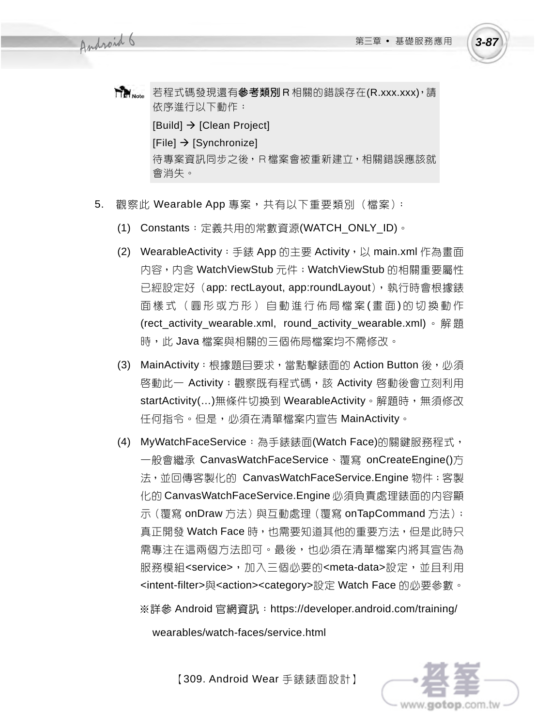www.gotop.com.tw

- **Tim** Note 若程式碼發現還有**參考類別R**相關的錯誤存在(R.xxx.xxx), 請 依序進行以下動作:  $[Build] \rightarrow [Clear Project]$  $[File] \rightarrow [Synchronize]$ 待專案資訊同步之後,R檔案會被重新建立,相關錯誤應該就 會消失。
- 5. 觀察此 Wearable App 專案,共有以下重要類別(檔案):
	- (1) Constants:定義共用的常數資源(WATCH\_ONLY\_ID)。
	- (2) WearableActivity: 手錶 App 的主要 Activity, 以 main.xml 作為畫面 內容,內含 WatchViewStub 元件;WatchViewStub 的相關重要屬性 已經設定好(app: rectLayout, app:roundLayout),執行時會根據錶 面樣式(圓形或方形)自動進行佈局檔案(書面)的切換動作 (rect\_activity\_wearable.xml, round\_activity\_wearable.xml) 。解題 時,此 Java 檔案與相關的三個佈局檔案均不需修改。
	- (3) MainActivity : 根據題目要求,當點擊錶面的 Action Button 後,必須 啓動此一 Activity;觀察既有程式碼,該 Activity 啓動後會立刻利用 startActivity(...)無條件切換到 WearableActivity。解題時,無須修改 任何指令。但是,必須在清單檔案內宣告 MainActivity。
	- (4) MyWatchFaceService:為手錶錶面(Watch Face)的關鍵服務程式, 一般會繼承 CanvasWatchFaceService、覆寫 onCreateEngine()方 法,並回傳客製化的 CanvasWatchFaceService.Engine 物件;客製 化的 CanvasWatchFaceService.Engine 必須負責處理錶面的內容顯 示 (覆寫 onDraw 方法) 與互動處理 (覆寫 onTapCommand 方法); 真正開發 Watch Face 時,也需要知道其他的重要方法,但是此時只 需專注在這兩個方法即可。最後,也必須在清單檔案内將其宣告為 服務模組<service>,加入三個必要的<meta-data>設定,並目利用 <intent-filter>與<action><category>設定 Watch Face 的必要參數。 ※詳參 Android 官網資訊:https://developer.android.com/training/

wearables/watch-faces/service.html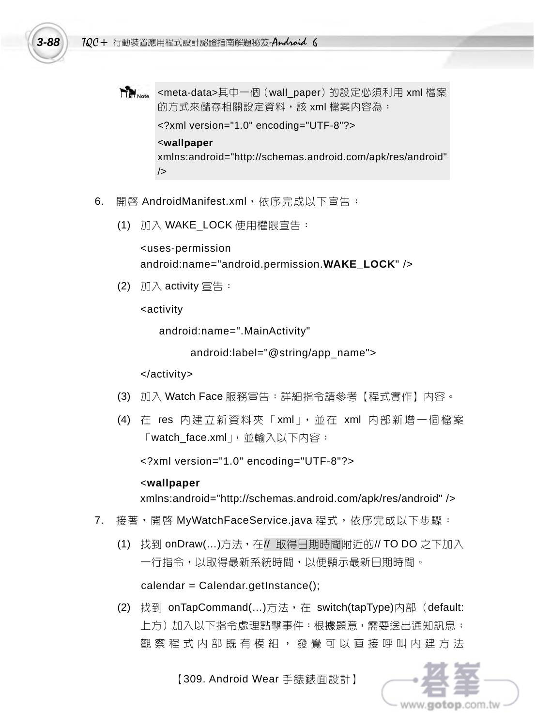

**TIP** Note <meta-data>其中一個(wall\_paper)的設定必須利用 xml 檔案 的方式來儲存相關設定資料,該 xml 檔案内容為:

<?xml version="1.0" encoding="UTF-8"?>

#### <**wallpaper**

xmlns:android="http://schemas.android.com/apk/res/android" />

- 6. 開啓 AndroidManifest.xml,依序完成以下宣告:
	- (1) 加入 WAKE\_LOCK 使用權限宣告:

<uses-permission android:name="android.permission.**WAKE\_LOCK**" />

(2)  $\text{11}\wedge \text{activity}$  宣告:

<activity

android:name=".MainActivity"

android:label="@string/app\_name">

</activity>

- (3) 加入 Watch Face 服務宣告:詳細指令請參考【程式實作】內容。
- (4) 在 res 內建立新資料夾「xml」,並在 xml 內部新增一個檔案 「watch\_face.xml」,並輸入以下內容:

<?xml version="1.0" encoding="UTF-8"?>

### <**wallpaper**

xmlns:android="http://schemas.android.com/apk/res/android" />

- 7. 接著,開啓 MyWatchFaceService.java 程式,依序完成以下步驟:
	- (1) 找到 onDraw(…)方法,在// 取得日期時間附近的// TO DO 之下加入 一行指令,以取得最新系統時間,以便顯示最新日期時間。

 $calar =$ Calendar.getInstance();

(2) 找到 onTapCommand(…)方法,在 switch(tapType)內部(default: 上方)加入以下指令處理點擊事件:根據題意,需要送出通知訊息; 觀 察 程 式 内 部 既 有 模 組 , 發 覺 可 以 直 接 呼 叫 内 建 方 法

www.**aiotoip**.com.tw